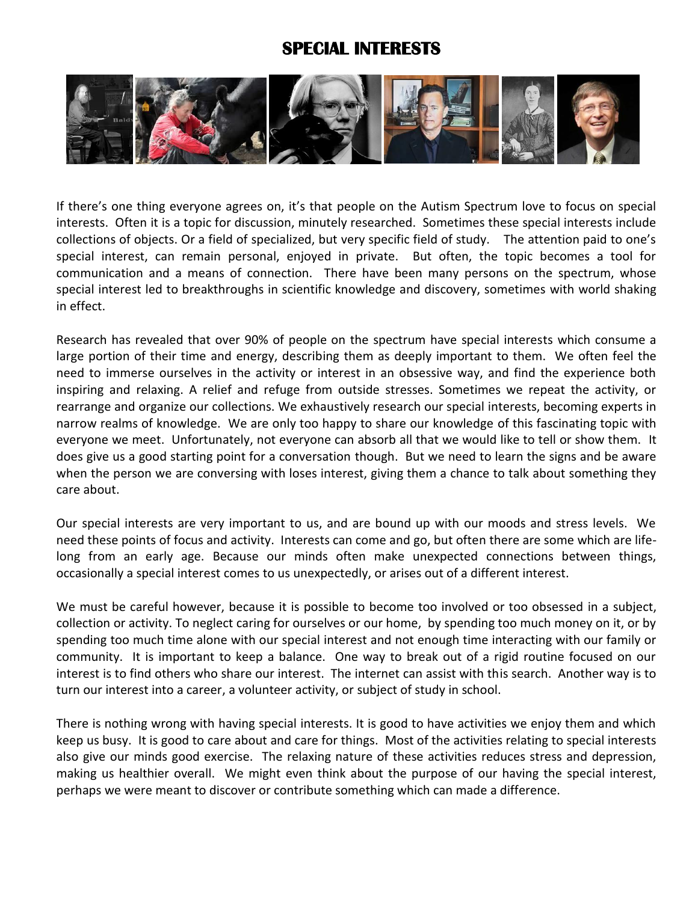## **SPECIAL INTERESTS**



If there's one thing everyone agrees on, it's that people on the Autism Spectrum love to focus on special interests. Often it is a topic for discussion, minutely researched. Sometimes these special interests include collections of objects. Or a field of specialized, but very specific field of study. The attention paid to one's special interest, can remain personal, enjoyed in private. But often, the topic becomes a tool for communication and a means of connection. There have been many persons on the spectrum, whose special interest led to breakthroughs in scientific knowledge and discovery, sometimes with world shaking in effect.

Research has revealed that over 90% of people on the spectrum have special interests which consume a large portion of their time and energy, describing them as deeply important to them. We often feel the need to immerse ourselves in the activity or interest in an obsessive way, and find the experience both inspiring and relaxing. A relief and refuge from outside stresses. Sometimes we repeat the activity, or rearrange and organize our collections. We exhaustively research our special interests, becoming experts in narrow realms of knowledge. We are only too happy to share our knowledge of this fascinating topic with everyone we meet. Unfortunately, not everyone can absorb all that we would like to tell or show them. It does give us a good starting point for a conversation though. But we need to learn the signs and be aware when the person we are conversing with loses interest, giving them a chance to talk about something they care about.

Our special interests are very important to us, and are bound up with our moods and stress levels. We need these points of focus and activity. Interests can come and go, but often there are some which are lifelong from an early age. Because our minds often make unexpected connections between things, occasionally a special interest comes to us unexpectedly, or arises out of a different interest.

We must be careful however, because it is possible to become too involved or too obsessed in a subject, collection or activity. To neglect caring for ourselves or our home, by spending too much money on it, or by spending too much time alone with our special interest and not enough time interacting with our family or community. It is important to keep a balance. One way to break out of a rigid routine focused on our interest is to find others who share our interest. The internet can assist with this search. Another way is to turn our interest into a career, a volunteer activity, or subject of study in school.

There is nothing wrong with having special interests. It is good to have activities we enjoy them and which keep us busy. It is good to care about and care for things. Most of the activities relating to special interests also give our minds good exercise. The relaxing nature of these activities reduces stress and depression, making us healthier overall. We might even think about the purpose of our having the special interest, perhaps we were meant to discover or contribute something which can made a difference.